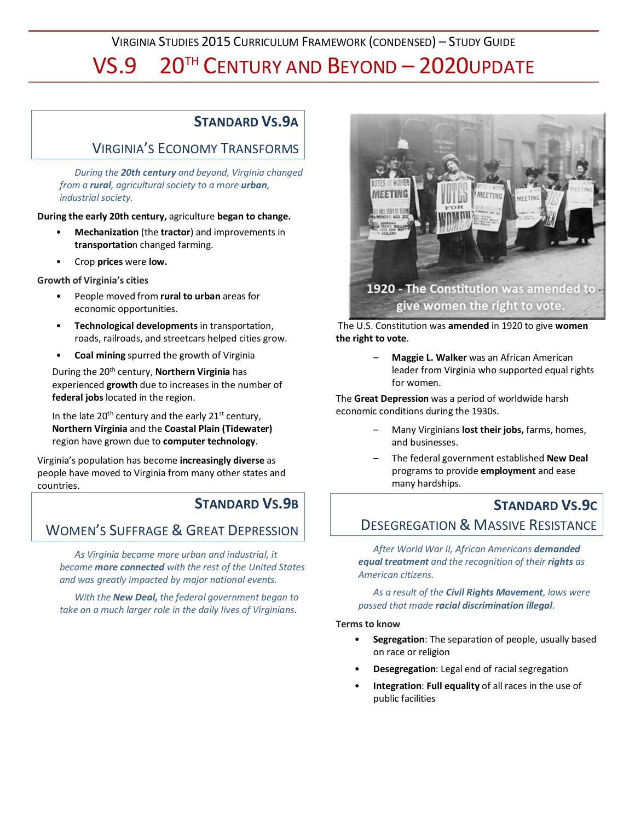VIRGINIA STUDIES 2015 CURRICULUM FRAMEWORK (CONDENSED) – STUDY GUIDE

## VS.9 20TH CENTURY AND BEYOND – 2020UPDATE

### **STANDARD VS.9A**

### VIRGINIA'S ECONOMY TRANSFORMS

*During the 20th century and beyond, Virginia changed from a rural, agricultural society to a more urban, industrial society.*

**During the early 20th century,** agriculture **began to change.**

- **Mechanization** (the **tractor**) and improvements in **transportatio**n changed farming.
- Crop **prices** were **low.**

**Growth of Virginia's cities**

- People moved from **rural to urban** areas for economic opportunities.
- **Technological developments** in transportation, roads, railroads, and streetcars helped cities grow.
- **Coal mining** spurred the growth of Virginia

During the 20th century, **Northern Virginia** has experienced **growth** due to increases in the number of **federal jobs** located in the region.

In the late  $20^{th}$  century and the early  $21^{st}$  century, **Northern Virginia** and the **Coastal Plain (Tidewater)** region have grown due to **computer technology**.

Virginia's population has become **increasingly diverse** as people have moved to Virginia from many other states and countries.

### **STANDARD VS.9B**

### WOMEN'S SUFFRAGE & GREAT DEPRESSION

*As Virginia became more urban and industrial, it became more connected with the rest of the United States and was greatly impacted by major national events.*

*With the New Deal, the federal government began to take on a much larger role in the daily lives of Virginians*.



# give women the right to vote.

The U.S. Constitution was **amended** in 1920 to give **women the right to vote**.

> – **Maggie L. Walker** was an African American leader from Virginia who supported equal rights for women.

The **Great Depression** was a period of worldwide harsh economic conditions during the 1930s.

- Many Virginians **lost their jobs,** farms, homes, and businesses.
- The federal government established **New Deal** programs to provide **employment** and ease many hardships.

### **STANDARD VS.9C** DESEGREGATION & MASSIVE RESISTANCE

*After World War II, African Americans demanded equal treatment and the recognition of their rights as American citizens.*

*As a result of the Civil Rights Movement, laws were passed that made racial discrimination illegal.*

#### **Terms to know**

- **Segregation**: The separation of people, usually based on race or religion
- **Desegregation**: Legal end of racial segregation
- **Integration**: **Full equality** of all races in the use of public facilities